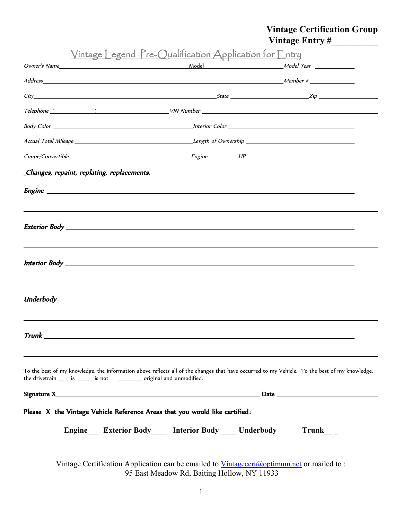## **Vintage Certification Group Vintage Entry #\_\_\_\_\_\_\_\_\_\_\_**

|                                                                               | Vintage Legend Pre-Qualification Application for Entry                                                                                                                                                                           |       |
|-------------------------------------------------------------------------------|----------------------------------------------------------------------------------------------------------------------------------------------------------------------------------------------------------------------------------|-------|
|                                                                               |                                                                                                                                                                                                                                  |       |
|                                                                               |                                                                                                                                                                                                                                  |       |
|                                                                               | $City$ State State State State State State State State State State State State State State State State State State State State State State State State State State State State State State State State State State State State S |       |
|                                                                               |                                                                                                                                                                                                                                  |       |
|                                                                               |                                                                                                                                                                                                                                  |       |
|                                                                               |                                                                                                                                                                                                                                  |       |
|                                                                               |                                                                                                                                                                                                                                  |       |
| Changes, repaint, replating, replacements.                                    |                                                                                                                                                                                                                                  |       |
|                                                                               |                                                                                                                                                                                                                                  |       |
|                                                                               |                                                                                                                                                                                                                                  |       |
|                                                                               |                                                                                                                                                                                                                                  |       |
|                                                                               |                                                                                                                                                                                                                                  |       |
|                                                                               |                                                                                                                                                                                                                                  |       |
|                                                                               |                                                                                                                                                                                                                                  |       |
|                                                                               |                                                                                                                                                                                                                                  |       |
|                                                                               |                                                                                                                                                                                                                                  |       |
|                                                                               |                                                                                                                                                                                                                                  |       |
|                                                                               |                                                                                                                                                                                                                                  |       |
|                                                                               |                                                                                                                                                                                                                                  |       |
|                                                                               |                                                                                                                                                                                                                                  |       |
|                                                                               |                                                                                                                                                                                                                                  |       |
| the drivetrain _____ is _______ is not _____________ original and unmodified. | To the best of my knowledge, the information above reflects all of the changes that have occurred to my Vehicle. To the best of my knowledge,                                                                                    |       |
|                                                                               |                                                                                                                                                                                                                                  |       |
|                                                                               |                                                                                                                                                                                                                                  |       |
|                                                                               | Please X the Vintage Vehicle Reference Areas that you would like certified:                                                                                                                                                      |       |
|                                                                               | Engine___ Exterior Body____ Interior Body ____ Underbody                                                                                                                                                                         | Trunk |
|                                                                               |                                                                                                                                                                                                                                  |       |

Vintage Certification Application can be emailed to [Vintagecert@optimum.net](mailto:Vintagecert@optimum.net) or mailed to: 95 East Meadow Rd, Baiting Hollow, NY 11933